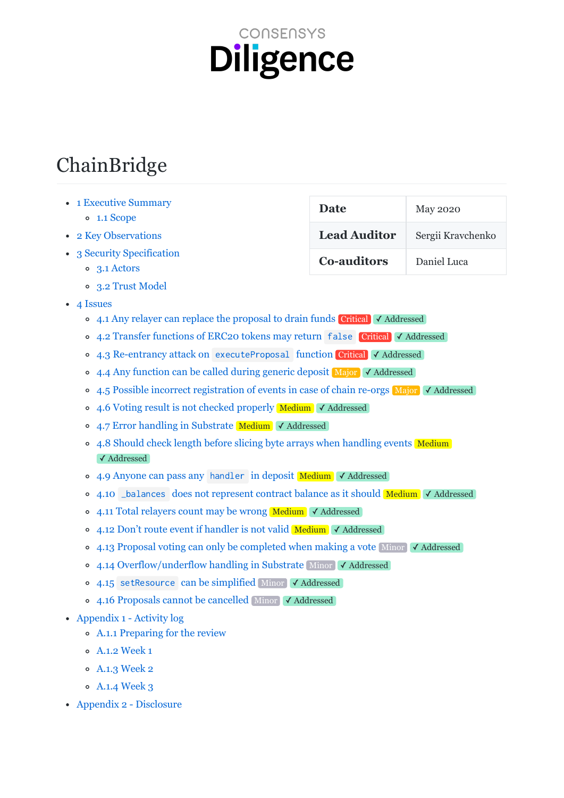# CONSENSYS **Diligence**

# ChainBridge

- 1 Executive Summary
	- [1.1
	Scope](#page-1-1)
- 2 Key Observations
- 3 Security Specification
	- [3.1
	Actors](#page-3-1)
	- [3.2
	Trust
	Model](#page-3-2)
- [4
Issues](#page-4-0)
	- 4.1 Any relayer can replace the proposal to drain funds Critical √ Addressed
	- 4.2 Transfer functions of ERC20 tokens may return false Critical √ Addressed
	- 4.3 Re-entrancy attack on executeProposal function Critical √ Addressed
	- 4.4 Any function can be called during generic deposit Major √ Addressed
	- 4.5 Possible incorrect registration of events in case of chain re-orgs Major √ Addressed
	- 4.6 Voting result is not checked properly Medium √ Addressed
	- 4.7 Error handling in Substrate Medium √ Addressed
	- 4.8 Should check length before slicing byte arrays when handling events Medium ✓ Addressed
	- 4.9 Anyone can pass any handler in deposit Medium √ Addressed
	- 4.10 \_balances does not represent contract balance as it should Medium √ Addressed
	- 4.11 Total relayers count may be wrong Medium √ Addressed
	- 4.12 Don't route event if handler is not valid Medium √ Addressed
	- 4.13 Proposal voting can only be completed when making a vote Minor √ Addressed
	- 4.14 Overflow/underflow handling in Substrate Minor √ Addressed
	- 4.15 setResource can be simplified Minor √ Addressed
	- 4.16 Proposals cannot be cancelled Minor √ Addressed
- Appendix 1 Activity log
	- [A.1.1
	Preparing
	for
	the
	review](#page-25-1)
	- [A.1.2
	Week
	1](#page-25-2)
	- [A.1.3
	Week
	2](#page-25-3)
	- [A.1.4
	Week
	3](#page-25-4)
- [Appendix
2
Disclosure](#page-26-0)

| Date                | <b>May 2020</b>   |
|---------------------|-------------------|
| <b>Lead Auditor</b> | Sergii Kravchenko |
| <b>Co-auditors</b>  | Daniel Luca       |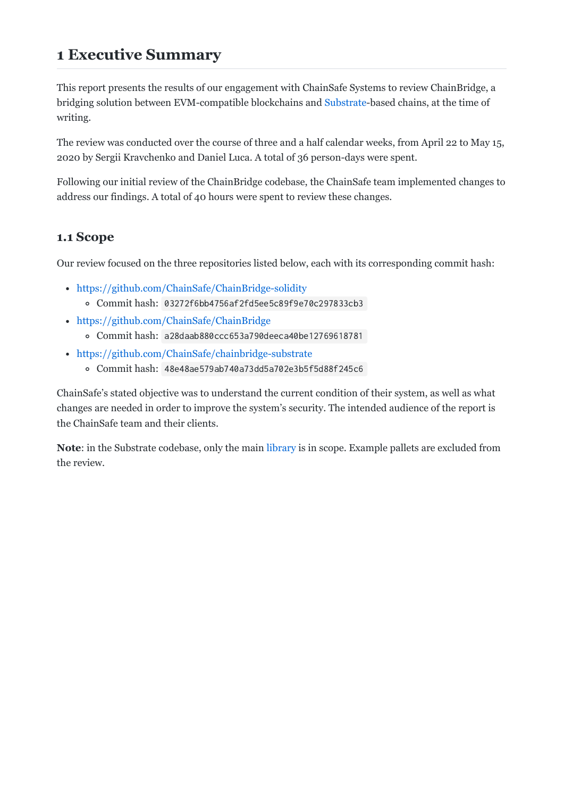# <span id="page-1-0"></span>**1
Executive
Summary**

This report presents the results of our engagement with ChainSafe Systems to review ChainBridge, a bridging solution between EVM-compatible blockchains and [Substrate-](https://substrate.dev/)based chains, at the time of writing.

The review was conducted over the course of three and a half calendar weeks, from April 22 to May 15, 2020
by
Sergii
Kravchenko
and
Daniel
Luca.
A
total
of
36
person-days
were
spent.

Following our initial review of the ChainBridge codebase, the ChainSafe team implemented changes to address
our
findings.
A
total
of
40
hours
were
spent
to
review
these
changes.

# <span id="page-1-1"></span>**1.1
Scope**

Our review focused on the three repositories listed below, each with its corresponding commit hash:

- <https://github.com/ChainSafe/ChainBridge-solidity>
	- Commit
	hash: 03272f6bb4756af2fd5ee5c89f9e70c297833cb3
- <https://github.com/ChainSafe/ChainBridge>
	- Commit
	hash: a28daab880ccc653a790deeca40be12769618781
- <https://github.com/ChainSafe/chainbridge-substrate>
	- Commit
	hash: 48e48ae579ab740a73dd5a702e3b5f5d88f245c6

ChainSafe's
stated
objective
was
to
understand
the
current
condition
of
their
system,
as
well
as
what changes
are
needed
in
order
to
improve
the
system's
security.
The
intended
audience
of
the
report
is the
ChainSafe
team
and
their
clients.

Note: in the Substrate codebase, only the main library is in scope. Example pallets are excluded from the
review.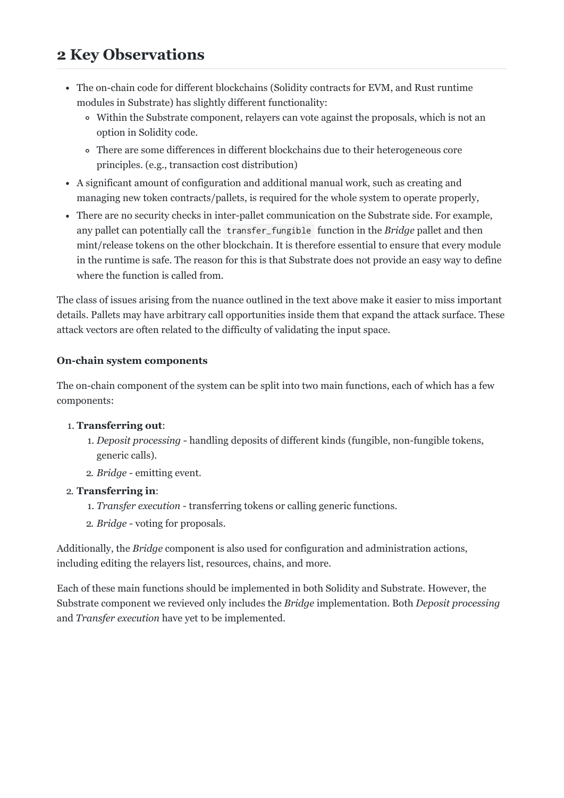# <span id="page-2-0"></span>**2
Key
Observations**

- The on-chain code for different blockchains (Solidity contracts for EVM, and Rust runtime modules
in
Substrate)
has
slightly
different
functionality:
	- Within the Substrate component, relayers can vote against the proposals, which is not an option
	in
	Solidity
	code.
	- There
	are
	some
	differences
	in
	different
	blockchains
	due
	to
	their
	heterogeneous
	core principles.
	(e.g.,
	transaction
	cost
	distribution)
- A significant amount of configuration and additional manual work, such as creating and managing
new
token
contracts/pallets,
is
required
for
the
whole
system
to
operate
properly,
- There are no security checks in inter-pallet communication on the Substrate side. For example, any pallet can potentially call the transfer\_fungible function in the *Bridge* pallet and then mint/release
tokens
on
the
other
blockchain.
It
is
therefore
essential
to
ensure
that
every
module in
the
runtime
is
safe.
The
reason
for
this
is
that
Substrate
does
not
provide
an
easy
way
to
define where the function is called from.

The
class
of
issues
arising
from
the
nuance
outlined
in
the
text
above
make
it
easier
to
miss
important details. Pallets may have arbitrary call opportunities inside them that expand the attack surface. These attack
vectors
are
often
related
to
the
difficulty
of
validating
the
input
space.

#### **On-chain system components**

The on-chain component of the system can be split into two main functions, each of which has a few components:

#### 1. **Transferring
out**:

- 1. *Deposit
processing*handling
deposits
of
different
kinds
(fungible,
non-fungible
tokens, generic
calls).
- 2. *Bridge*emitting
event.

#### 2. **Transferring
in**:

- 1. *Transfer
execution*transferring
tokens
or
calling
generic
functions.
- 2. *Bridge*voting
for
proposals.

Additionally, the *Bridge* component is also used for configuration and administration actions, including
editing
the
relayers
list,
resources,
chains,
and
more.

Each
of
these
main
functions
should
be
implemented
in
both
Solidity
and
Substrate.
However,
the Substrate component we revieved only includes the *Bridge* implementation. Both *Deposit processing* and *Transfer
execution*have
yet
to
be
implemented.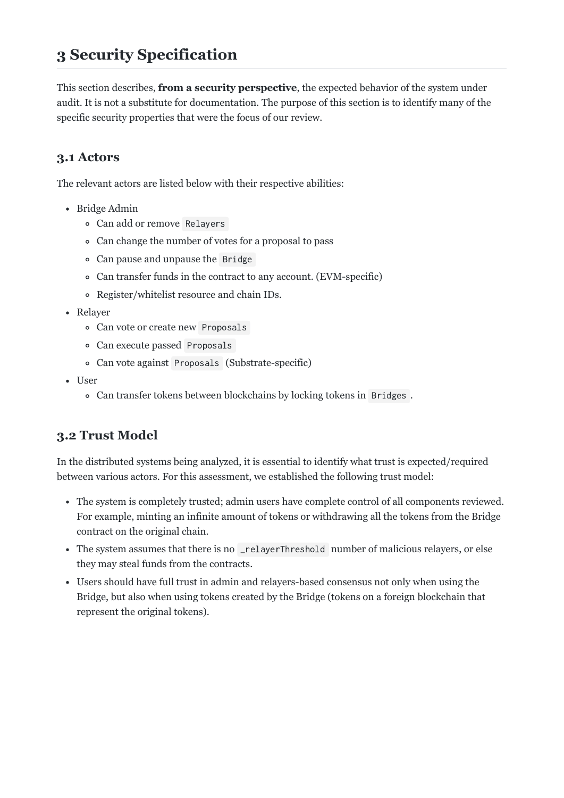# <span id="page-3-0"></span>**3
Security
Specification**

This section describes, **from a security perspective**, the expected behavior of the system under audit. It is not a substitute for documentation. The purpose of this section is to identify many of the specific security properties that were the focus of our review.

# <span id="page-3-1"></span>**3.1
Actors**

The
relevant
actors
are
listed
below
with
their
respective
abilities:

- Bridge
Admin
	- Can
	add
	or
	remove Relayers
	- Can change the number of votes for a proposal to pass
	- Can
	pause
	and
	unpause
	the Bridge
	- Can transfer funds in the contract to any account. (EVM-specific)
	- Register/whitelist
	resource
	and
	chain
	IDs.
- Relaver
	- Can
	vote
	or
	create
	new Proposals
	- Can
	execute
	passed Proposals
	- Can
	vote
	against Proposals (Substrate-specific)
- User
	- Can transfer tokens between blockchains by locking tokens in Bridges.

# <span id="page-3-2"></span>**3.2
Trust
Model**

In the distributed systems being analyzed, it is essential to identify what trust is expected/required between
various
actors.
For
this
assessment,
we
established
the
following
trust
model:

- The system is completely trusted; admin users have complete control of all components reviewed. For example, minting an infinite amount of tokens or withdrawing all the tokens from the Bridge contract
on
the
original
chain.
- The system assumes that there is no \_relayerThreshold number of malicious relayers, or else they
may
steal
funds
from
the
contracts.
- Users should have full trust in admin and relayers-based consensus not only when using the Bridge,
but
also
when
using
tokens
created
by
the
Bridge
(tokens
on
a
foreign
blockchain
that represent
the
original
tokens).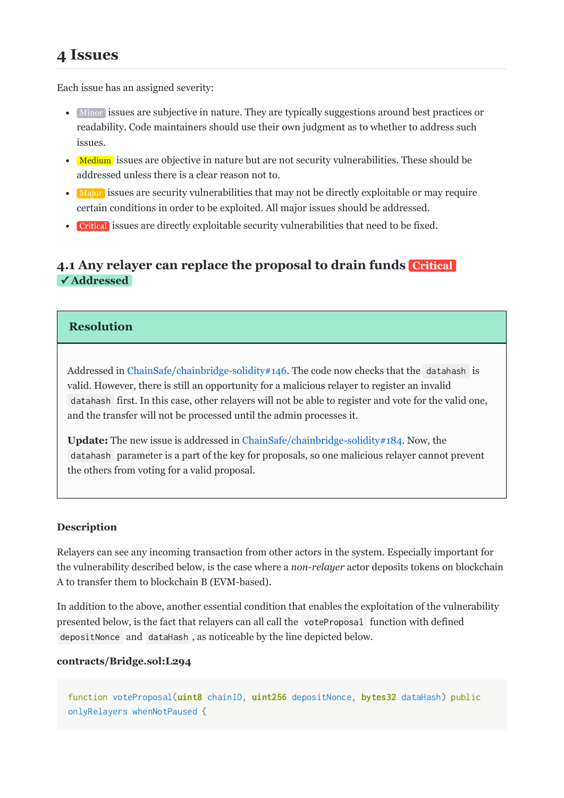<span id="page-4-0"></span>Each
issue
has
an
assigned
severity:

- Minor issues are subjective in nature. They are typically suggestions around best practices or readability.
Code
maintainers
should
use
their
own
judgment
as
to
whether
to
address
such issues.
- Medium issues are objective in nature but are not security vulnerabilities. These should be addressed
unless
there
is
a
clear
reason
not
to.
- Major issues are security vulnerabilities that may not be directly exploitable or may require certain
conditions
in
order
to
be
exploited.
All
major
issues
should
be
addressed.
- Critical issues are directly exploitable security vulnerabilities that need to be fixed.

# <span id="page-4-1"></span>**[4.1
Any
relayer
can
replace
the
proposal
to
drain
funds](#page-4-1)  Critical ✓ Addressed**

#### **Resolution**

Addressed in ChainSafe/chainbridge-solidity#146. The code now checks that the datahash is valid.
However,
there
is
still
an
opportunity
for
a
malicious
relayer
to
register
an
invalid datahash first.
In
this
case,
other
relayers
will
not
be
able
to
register
and
vote
for
the
valid
one, and
the
transfer
will
not
be
processed
until
the
admin
processes
it.

Update: The new issue is addressed in [ChainSafe/chainbridge-solidity#184.](https://github.com/ChainSafe/chainbridge-solidity/pull/184) Now, the datahash parameter
is
a
part
of
the
key
for
proposals,
so
one
malicious
relayer
cannot
prevent the
others
from
voting
for
a
valid
proposal.

#### **Description**

Relayers
can
see
any
incoming
transaction
from
other
actors
in
the
system.
Especially
important
for the vulnerability described below, is the case where a *non-relayer* actor deposits tokens on blockchain A
to
transfer
them
to
blockchain
B
(EVM-based).

In addition to the above, another essential condition that enables the exploitation of the vulnerability presented
below,
is
the
fact
that
relayers
can
all
call
the voteProposal function
with
defined depositNonce and dataHash, as noticeable by the line depicted below.

#### **contracts/Bridge.sol:L294**

function voteProposal(uint8 chainID, uint256 depositNonce, bytes32 dataHash) public onlyRelayers whenNotPaused {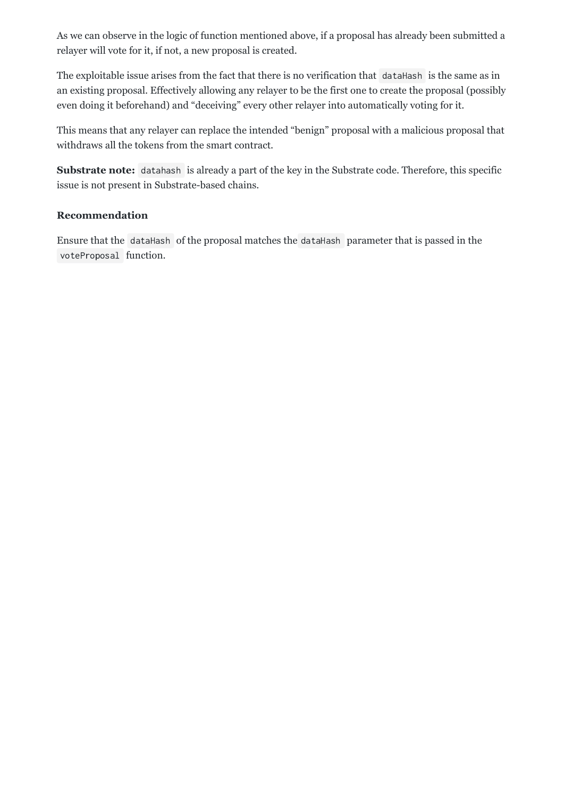As we can observe in the logic of function mentioned above, if a proposal has already been submitted a relayer
will
vote
for
it,
if
not,
a
new
proposal
is
created.

The exploitable issue arises from the fact that there is no verification that dataHash is the same as in an
existing
proposal.
Effectively
allowing
any
relayer
to
be
the
first
one
to
create
the
proposal
(possibly even doing it beforehand) and "deceiving" every other relayer into automatically voting for it.

This
means
that
any
relayer
can
replace
the
intended
"benign"
proposal
with
a
malicious
proposal
that withdraws
all
the
tokens
from
the
smart
contract.

Substrate note: datahash is already a part of the key in the Substrate code. Therefore, this specific issue
is
not
present
in
Substrate-based
chains.

#### **Recommendation**

Ensure that the dataHash of the proposal matches the dataHash parameter that is passed in the voteProposal function.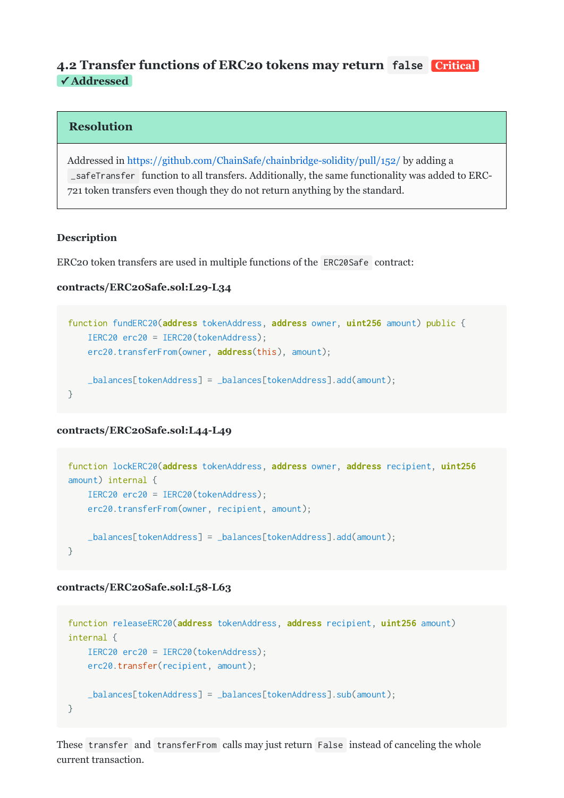### <span id="page-6-0"></span>**[4.2
Transfer
functions
of
ERC20
tokens
may
return](#page-6-0)**  false **Critical ✓ Addressed**

#### **Resolution**

Addressed in https://github.com/ChainSafe/chainbridge-solidity/pull/152/ by adding a \_safeTransfer function
to
all
transfers.
Additionally,
the
same
functionality
was
added
to
ERC-721
token
transfers
even
though
they
do
not
return
anything
by
the
standard.

#### **Description**

ERC20 token transfers are used in multiple functions of the ERC20Safe contract:

#### **contracts/ERC20Safe.sol:L29L34**

```
function fundERC20(address tokenAddress, address owner, uint256 amount) public {

IERC20 erc20 = IERC20(tokenAddress);

erc20.transferFrom(owner, address(this), amount);

_balances[tokenAddress] = _balances[tokenAddress].add(amount);
}
```
#### **contracts/ERC20Safe.sol:L44L49**

```
function lockERC20(address tokenAddress, address owner, address recipient, uint256
amount) internal {

IERC20 erc20 = IERC20(tokenAddress);

erc20.transferFrom(owner, recipient, amount);

_balances[tokenAddress] = _balances[tokenAddress].add(amount);
}
```
#### **contracts/ERC20Safe.sol:L58L63**

```
function releaseERC20(address tokenAddress, address recipient, uint256 amount)
internal {

IERC20 erc20 = IERC20(tokenAddress);

erc20.transfer(recipient, amount);

_balances[tokenAddress] = _balances[tokenAddress].sub(amount);
}
```
These transfer and transferFrom calls may just return False instead of canceling the whole current
transaction.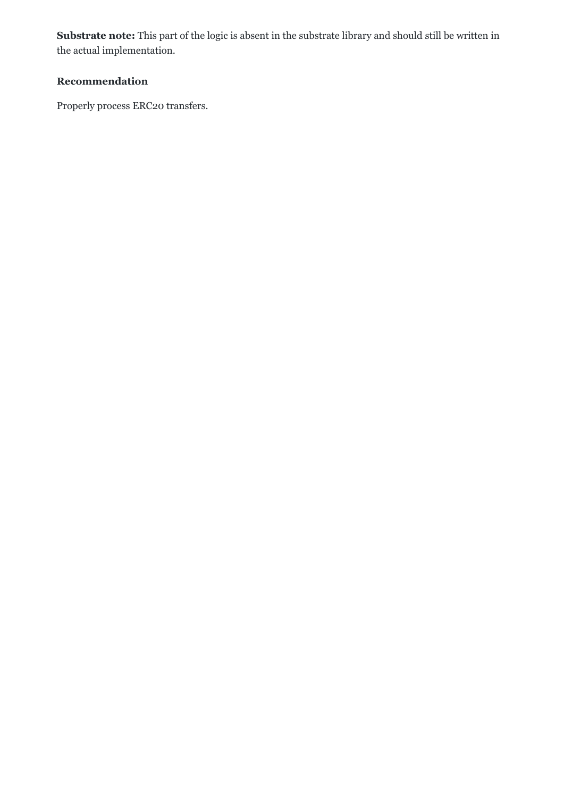Substrate note: This part of the logic is absent in the substrate library and should still be written in the
actual
implementation.

# **Recommendation**

Properly
process
ERC20
transfers.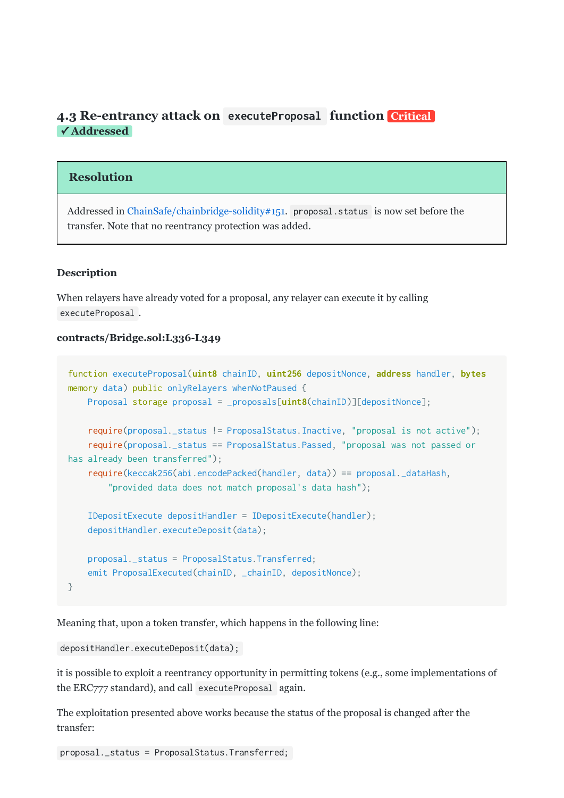## <span id="page-8-0"></span>4.3 Re-entrancy attack on executeProposal function Critical **✓ Addressed**

#### **Resolution**

Addressed in ChainSafe/chainbridge-solidity#151. proposal.status is now set before the transfer.
Note
that
no
reentrancy
protection
was
added.

#### **Description**

When relayers have already voted for a proposal, any relayer can execute it by calling executeProposal .

#### **contracts/Bridge.sol:L336L349**

```
function executeProposal(uint8 chainID, uint256 depositNonce, address handler, bytes
memory data) public onlyRelayers whenNotPaused {
    Proposal storage proposal = _proposals[uint8(chainID)][depositNonce];
    require(proposal._status != ProposalStatus.Inactive, "proposal is not active");

require(proposal._status == ProposalStatus.Passed, "proposal
was
not
passed
or
has
already
been
transferred");

require(keccak256(abi.encodePacked(handler, data)) == proposal._dataHash,
        "provided data does not match proposal's data hash");

IDepositExecute depositHandler = IDepositExecute(handler);

depositHandler.executeDeposit(data);

proposal._status = ProposalStatus.Transferred;
    emit ProposalExecuted(chainID, _chainID, depositNonce);
}
```
Meaning
that,
upon
a
token
transfer,
which
happens
in
the
following
line:

```
depositHandler.executeDeposit(data);
```
it is possible to exploit a reentrancy opportunity in permitting tokens (e.g., some implementations of the
ERC777
standard),
and
call executeProposal again.

The
exploitation
presented
above
works
because
the
status
of
the
proposal
is
changed
after
the transfer:

proposal.\_status = ProposalStatus.Transferred;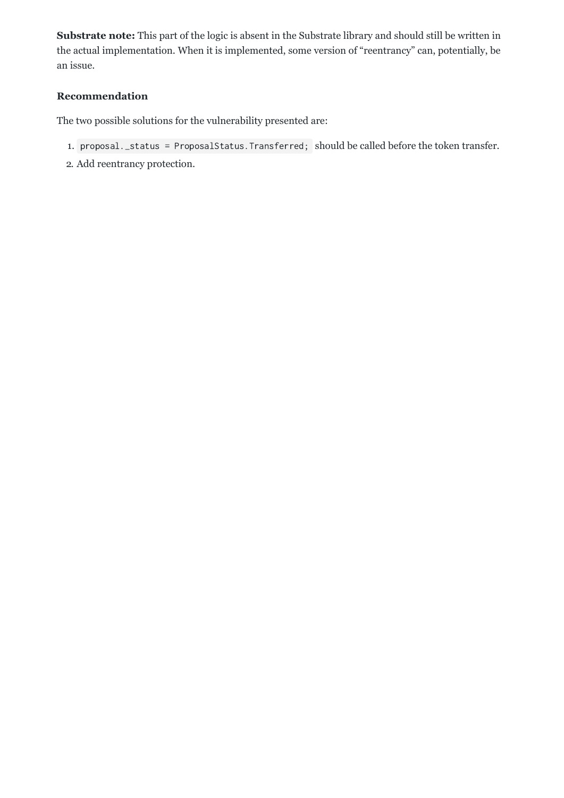Substrate note: This part of the logic is absent in the Substrate library and should still be written in the actual implementation. When it is implemented, some version of "reentrancy" can, potentially, be an
issue.

#### **Recommendation**

The
two
possible
solutions
for
the
vulnerability
presented
are:

- 1. proposal.\_status = ProposalStatus.Transferred; should be called before the token transfer.
- 2.
Add
reentrancy
protection.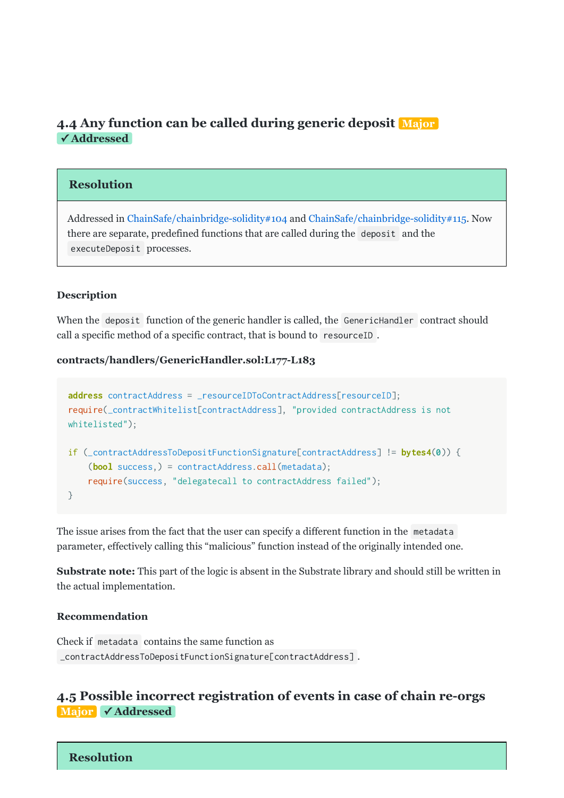# <span id="page-10-0"></span>**[4.4
Any
function
can
be
called
during
generic
deposit](#page-10-0)  Major ✓ Addressed**

#### **Resolution**

Addressed
in[ChainSafe/chainbridge-solidity#104](https://github.com/ChainSafe/chainbridge-solidity/pull/104)and [ChainSafe/chainbridge-solidity#115](https://github.com/ChainSafe/chainbridge-solidity/pull/115).
Now there
are
separate,
predefined
functions
that
are
called
during
the deposit and
the executeDeposit processes.

#### **Description**

When the deposit function of the generic handler is called, the GenericHandler contract should call a specific method of a specific contract, that is bound to resourceID.

#### **contracts/handlers/GenericHandler.sol:L177L183**

```
address contractAddress = _resourceIDToContractAddress[resourceID];
require(_contractWhitelist[contractAddress], "provided
contractAddress
is
not
whitelisted");
if (_contractAddressToDepositFunctionSignature[contractAddress] != bytes4(0)) {
    (bool success,) = contractAddress.call(metadata);

require(success, "delegatecall
to
contractAddress
failed");
}
```
The issue arises from the fact that the user can specify a different function in the metadata parameter,
effectively
calling
this
"malicious"
function
instead
of
the
originally
intended
one.

**Substrate note:** This part of the logic is absent in the Substrate library and should still be written in the
actual
implementation.

#### **Recommendation**

Check
if metadata contains
the
same
function
as \_contractAddressToDepositFunctionSignature[contractAddress] .

#### <span id="page-10-1"></span>**[4.5
Possible
incorrect
registration
of
events
in
case
of
chain
reorgs](#page-10-1) Major ✓ Addressed**

**Resolution**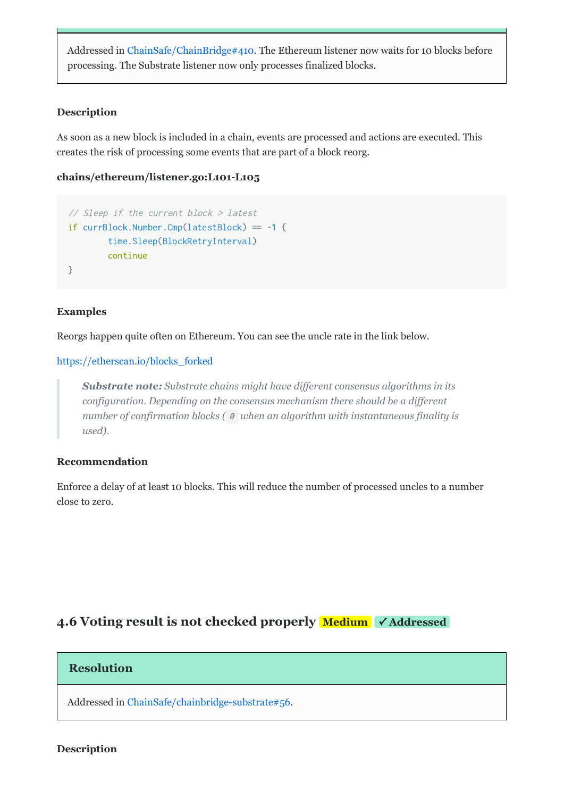Addressed
in[ChainSafe/ChainBridge#410](https://github.com/ChainSafe/ChainBridge/pull/410).
The
Ethereum
listener
now
waits
for
10
blocks
before processing.
The
Substrate
listener
now
only
processes
finalized
blocks.

#### **Description**

As soon as a new block is included in a chain, events are processed and actions are executed. This creates
the
risk
of
processing
some
events
that
are
part
of
a
block
reorg.

#### chains/ethereum/listener.go:L101-L105

```
//
Sleep
if
the
current
block
>
latest
if currBlock.Number.Cmp(latestBlock) == -1 {
        time.Sleep(BlockRetryInterval)
        continue
}
```
#### **Examples**

Reorgs happen quite often on Ethereum. You can see the uncle rate in the link below.

#### [https://etherscan.io/blocks\\_forked](https://etherscan.io/blocks_forked)

Substrate note: Substrate chains might have different consensus algorithms in its *configuration.
Depending
on
the
consensus
mechanism
there
should
be
a
different* number of confirmation blocks ( $\theta$  when an algorithm with instantaneous finality is *used).*

#### **Recommendation**

Enforce a delay of at least 10 blocks. This will reduce the number of processed uncles to a number close
to
zero.

### <span id="page-11-0"></span>**4.6 Voting result is not checked properly Medium √Addressed**

#### **Resolution**

Addressed
in[ChainSafe/chainbridge-substrate#56.](https://github.com/ChainSafe/chainbridge-substrate/pull/56)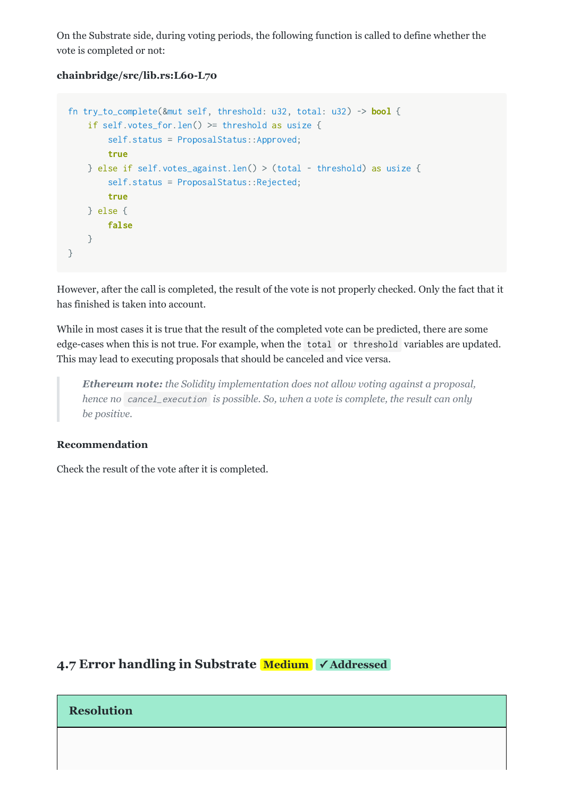On
the
Substrate
side,
during
voting
periods,
the
following
function
is
called
to
define
whether
the vote
is
completed
or
not:

#### **chainbridge/src/lib.rs:L60L70**

```
fn try_to_complete(&mut self, threshold: u32, total: u32) -> bool {

if self.votes_for.len() >= threshold as usize {

self.status = ProposalStatus::Approved;

true

} else if self.votes_against.len() > (total - threshold) as usize {
         self.status = ProposalStatus::Rejected;

true

} else {

false

}
}
```
However, after the call is completed, the result of the vote is not properly checked. Only the fact that it has
finished
is
taken
into
account.

While in most cases it is true that the result of the completed vote can be predicted, there are some edge-cases
when
this
is
not
true.
For
example,
when
the total or threshold variables
are
updated. This
may
lead
to
executing
proposals
that
should
be
canceled
and
vice
versa.

*Ethereum note:* the Solidity implementation does not allow voting against a proposal, hence no cancel\_execution is possible. So, when a vote is complete, the result can only *be
positive.*

#### **Recommendation**

Check
the
result
of
the
vote
after
it
is
completed.

## <span id="page-12-0"></span>**[4.7
Error
handling
in
Substrate](#page-12-0)  Medium ✓ Addressed**

#### **Resolution**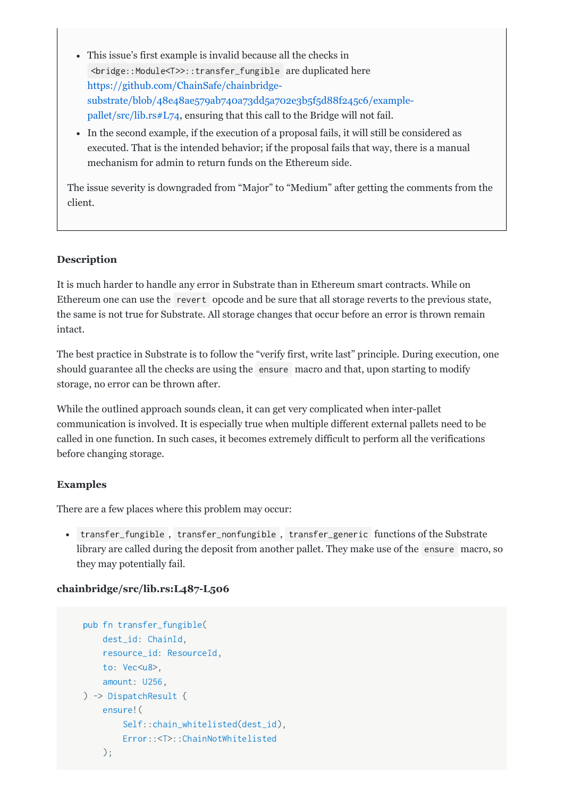- This issue's first example is invalid because all the checks in <bridge::Module<T>>::transfer\_fungible are
duplicated
here https://github.com/ChainSafe/chainbridge[substrate/blob/48e48ae579ab740a73dd5a702e3b5f5d88f245c6/example](https://github.com/ChainSafe/chainbridge-substrate/blob/48e48ae579ab740a73dd5a702e3b5f5d88f245c6/example-pallet/src/lib.rs#L74)pallet/src/lib.rs#L74,
ensuring
that
this
call
to
the
Bridge
will
not
fail.
- In the second example, if the execution of a proposal fails, it will still be considered as executed. That is the intended behavior; if the proposal fails that way, there is a manual mechanism
for
admin
to
return
funds
on
the
Ethereum
side.

The issue severity is downgraded from "Major" to "Medium" after getting the comments from the client.

#### **Description**

It is much harder to handle any error in Substrate than in Ethereum smart contracts. While on Ethereum one can use the revert opcode and be sure that all storage reverts to the previous state, the same is not true for Substrate. All storage changes that occur before an error is thrown remain intact.

The
best
practice
in
Substrate
is
to
follow
the
"verify
first,
write
last"
principle.
During
execution,
one should guarantee all the checks are using the ensure macro and that, upon starting to modify storage,
no
error
can
be
thrown
after.

While the outlined approach sounds clean, it can get very complicated when inter-pallet communication
is
involved.
It
is
especially
true
when
multiple
different
external
pallets
need
to
be called
in
one
function.
In
such
cases,
it
becomes
extremely
difficult
to
perform
all
the
verifications before
changing
storage.

#### **Examples**

There
are
a
few
places
where
this
problem
may
occur:

• transfer\_fungible, transfer\_nonfungible, transfer\_generic functions of the Substrate library are called during the deposit from another pallet. They make use of the ensure macro, so they
may
potentially
fail.

#### **chainbridge/src/lib.rs:L487L506**

```

pub fn transfer_fungible(

dest_id: ChainId,

resource_id: ResourceId,

to: Vec<u8>,

amount: U256,

) -> DispatchResult {

ensure!(

Self::chain_whitelisted(dest_id),

Error::<T>::ChainNotWhitelisted
     );
```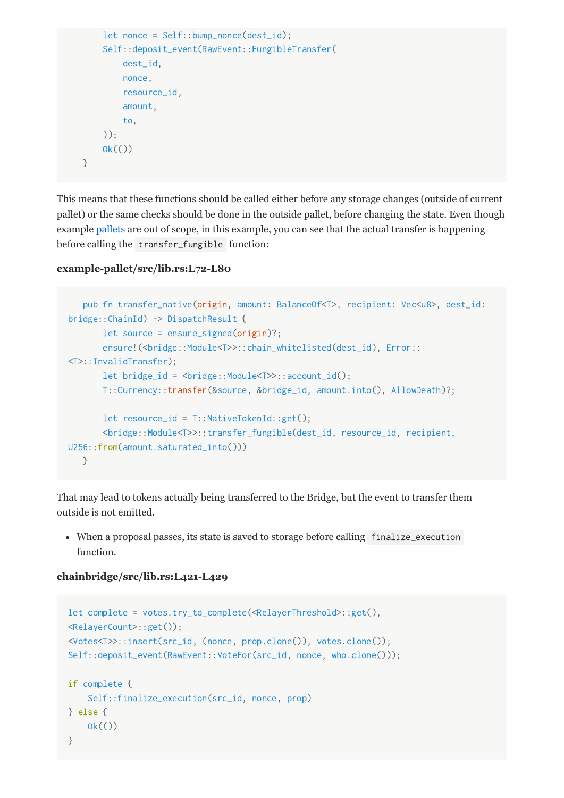```

let nonce = Self::bump_nonce(dest_id);

Self::deposit_event(RawEvent::FungibleTransfer(

dest_id,

nonce,

resource_id,

amount,

to,

));
      0k(())

}
```
This
means
that
these
functions
should
be
called
either
before
any
storage
changes
(outside
of
current pallet)
or
the
same
checks
should
be
done
in
the
outside
pallet,
before
changing
the
state.
Even
though example[pallets](https://github.com/ChainSafe/chainbridge-substrate/blob/48e48ae579ab740a73dd5a702e3b5f5d88f245c6/example-pallet/src/lib.rs)are
out
of
scope,
in
this
example,
you
can
see
that
the
actual
transfer
is
happening before
calling
the transfer\_fungible function:

#### example-pallet/src/lib.rs:L72-L80

```

pub fn transfer_native(origin, amount: BalanceOf<T>, recipient: Vec<u8>, dest_id:
bridge::ChainId) -> DispatchResult {

let source = ensure_signed(origin)?;
       ensure!(<bridge::Module<T>>::chain_whitelisted(dest_id), Error::
<T>::InvalidTransfer);

let bridge_id = <bridge::Module<T>>::account_id();

T::Currency::transfer(&source, &bridge_id, amount.into(), AllowDeath)?;

let resource_id = T::NativeTokenId::get();

<bridge::Module<T>>::transfer_fungible(dest_id, resource_id, recipient,
U256::from(amount.saturated_into()))

}
```
That
may
lead
to
tokens
actually
being
transferred
to
the
Bridge,
but
the
event
to
transfer
them outside
is
not
emitted.

• When a proposal passes, its state is saved to storage before calling finalize\_execution function.

#### **chainbridge/src/lib.rs:L421L429**

```
let complete = votes.try_to_complete(<RelayerThreshold>::get(),
<RelayerCount>::get());
<Votes<T>>::insert(src_id, (nonce, prop.clone()), votes.clone());
Self::deposit_event(RawEvent::VoteFor(src_id, nonce, who.clone()));
if complete {

Self::finalize_execution(src_id, nonce, prop)
} else {
   0k(())}
```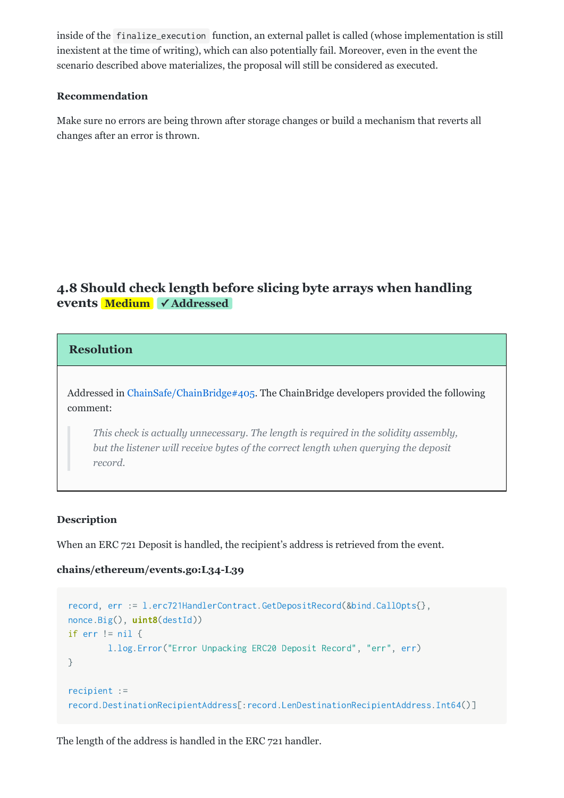inside
of
the finalize\_execution function,
an
external
pallet
is
called
(whose
implementation
is
still inexistent at the time of writing), which can also potentially fail. Moreover, even in the event the scenario
described
above
materializes,
the
proposal
will
still
be
considered
as
executed.

#### **Recommendation**

Make
sure
no
errors
are
being
thrown
after
storage
changes
or
build
a
mechanism
that
reverts
all changes
after
an
error
is
thrown.

# <span id="page-15-0"></span>**[4.8
Should
check
length
before
slicing
byte
arrays
when
handling](#page-15-0) events Medium** ✓ Addressed

#### **Resolution**

Addressed in ChainSafe/ChainBridge#405. The ChainBridge developers provided the following comment:

*This
check
is
actually
unnecessary.
The
length
is
required
in
the
solidity
assembly,* but the listener will receive bytes of the correct length when querying the deposit *record.*

#### **Description**

When an ERC 721 Deposit is handled, the recipient's address is retrieved from the event.

#### **chains/ethereum/events.go:L34L39**

```
record, err := l.erc721HandlerContract.GetDepositRecord(&bind.CallOpts{},
nonce.Big(), uint8(destId))
if err != nil {
       l.log.Error("Error
Unpacking
ERC20
Deposit
Record", "err", err)
}
recipient :=
record.DestinationRecipientAddress[:record.LenDestinationRecipientAddress.Int64()]
```
The
length
of
the
address
is
handled
in
the
ERC
721
handler.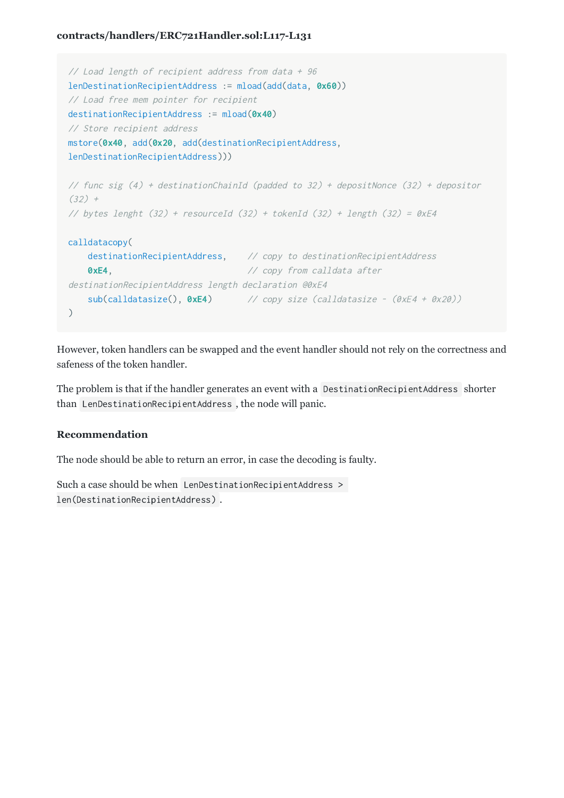#### **contracts/handlers/ERC721Handler.sol:L117L131**

```
// Load length of recipient address from data + 96
lenDestinationRecipientAddress := mload(add(data, 0x60))
//
Load
free
mem
pointer
for
recipient
destinationRecipientAddress := mload(0x40)
//
Store
recipient
address
mstore(0x40, add(0x20, add(destinationRecipientAddress,
lenDestinationRecipientAddress)))
// func sig (4) + destinationChainId (padded to 32) + depositNonce (32) + depositor
(32) +// bytes lenght (32) + resourceId (32) + tokenId (32) + length (32) = 0xE4
calldatacopy(
    destinationRecipientAddress, // copy to destinationRecipientAddress
    OxE4, 2000 CODY from calldata after
destinationRecipientAddress
length
declaration
@0xE4
    sub(calldatasize(), 0xE4) // copy size (calldatasize - (0xE4 + 0x20))
)
```
However,
token
handlers
can
be
swapped
and
the
event
handler
should
not
rely
on
the
correctness
and safeness
of
the
token
handler.

The problem is that if the handler generates an event with a DestinationRecipientAddress shorter than LenDestinationRecipientAddress ,
the
node
will
panic.

#### **Recommendation**

The
node
should
be
able
to
return
an
error,
in
case
the
decoding
is
faulty.

Such a case should be when LenDestinationRecipientAddress > len(DestinationRecipientAddress) .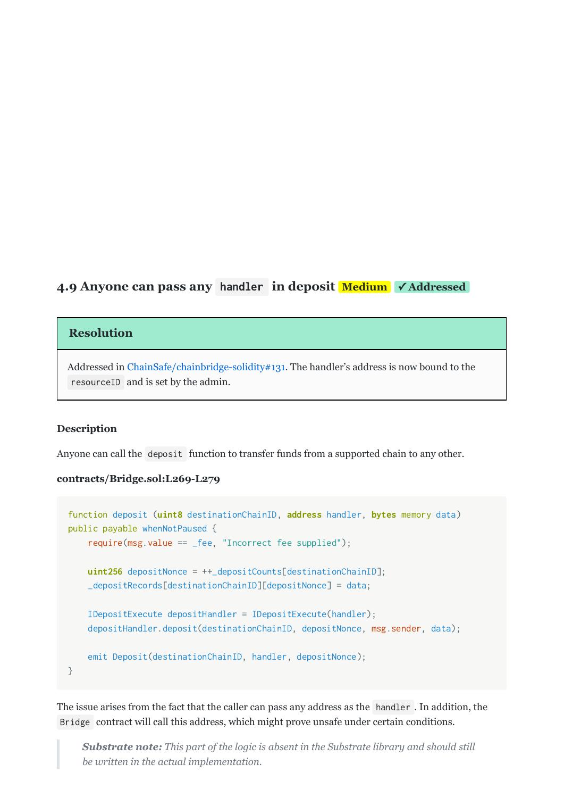## <span id="page-17-0"></span>**4.9 Anyone can pass any handler in deposit Medium** √Addressed

#### **Resolution**

Addressed in ChainSafe/chainbridge-solidity#131. The handler's address is now bound to the resourceID and
is
set
by
the
admin.

#### **Description**

Anyone can call the deposit function to transfer funds from a supported chain to any other.

#### **contracts/Bridge.sol:L269L279**

```
function deposit (uint8 destinationChainID, address handler, bytes memory data)
public payable whenNotPaused {

require(msg.value == _fee, "Incorrect
fee
supplied");
    uint256 depositNonce = ++_depositCounts[destinationChainID];

_depositRecords[destinationChainID][depositNonce] = data;

IDepositExecute depositHandler = IDepositExecute(handler);

depositHandler.deposit(destinationChainID, depositNonce, msg.sender, data);

emit Deposit(destinationChainID, handler, depositNonce);
}
```
The issue arises from the fact that the caller can pass any address as the handler. In addition, the Bridge contract
will
call
this
address,
which
might
prove
unsafe
under
certain
conditions.

**Substrate note:** This part of the logic is absent in the Substrate library and should still *be
written
in
the
actual
implementation.*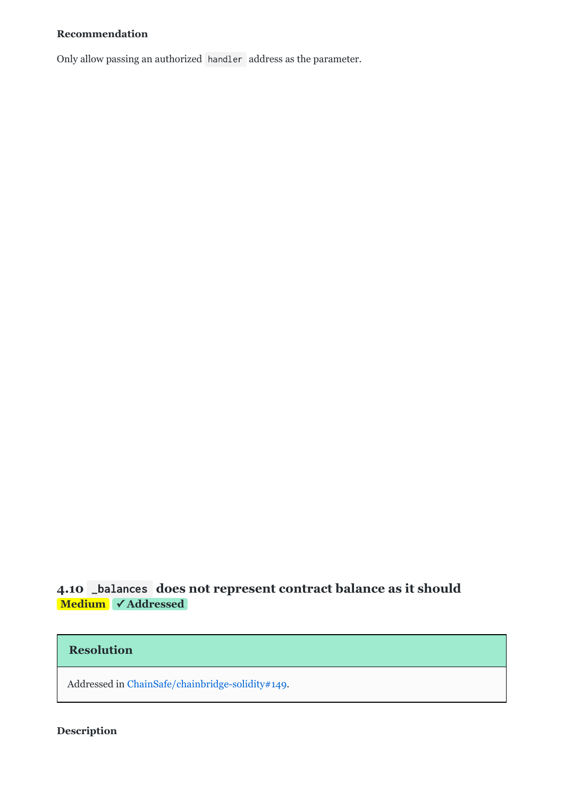#### **Recommendation**

Only allow passing an authorized handler address as the parameter.

# <span id="page-18-0"></span>**4.10**  \_balances **[does
not
represent
contract
balance
as
it
should](#page-18-0) Medium ✓ Addressed**

### **Resolution**

Addressed
in[ChainSafe/chainbridge-solidity#149.](https://github.com/ChainSafe/chainbridge-solidity/pull/149)

#### **Description**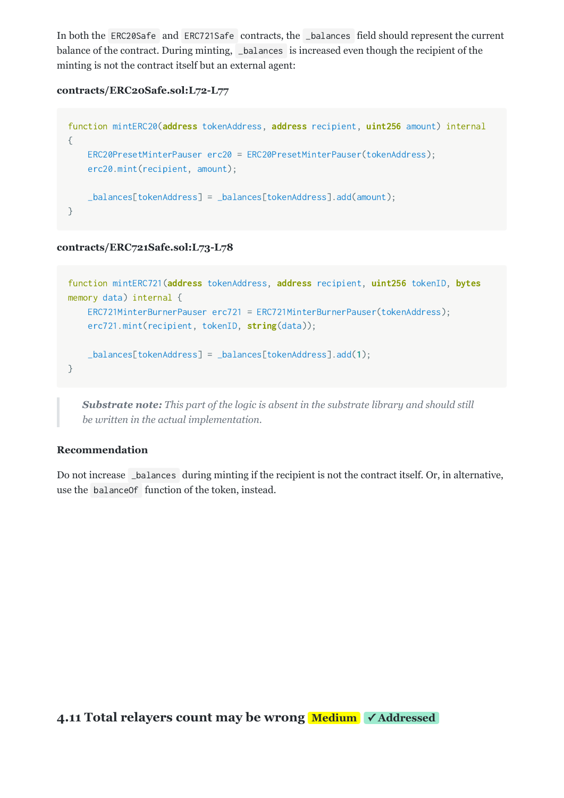In both the ERC20Safe and ERC721Safe contracts, the \_balances field should represent the current balance of the contract. During minting, \_balances is increased even though the recipient of the minting is not the contract itself but an external agent:

#### **contracts/ERC20Safe.sol:L72L77**

```
function mintERC20(address tokenAddress, address recipient, uint256 amount) internal
{

ERC20PresetMinterPauser erc20 = ERC20PresetMinterPauser(tokenAddress);

erc20.mint(recipient, amount);

_balances[tokenAddress] = _balances[tokenAddress].add(amount);
}
```
#### **contracts/ERC721Safe.sol:L73L78**

```
function mintERC721(address tokenAddress, address recipient, uint256 tokenID, bytes
memory data) internal {

ERC721MinterBurnerPauser erc721 = ERC721MinterBurnerPauser(tokenAddress);
    erc721.mint(recipient, tokenID, string(data));

_balances[tokenAddress] = _balances[tokenAddress].add(1);
```

```
}
```
**Substrate note:** This part of the logic is absent in the substrate library and should still *be
written
in
the
actual
implementation.*

#### **Recommendation**

Do not increase \_balances during minting if the recipient is not the contract itself. Or, in alternative, use
the balanceOf function
of
the
token,
instead.

<span id="page-19-0"></span>**4.11 Total relayers count may be wrong Medium** √Addressed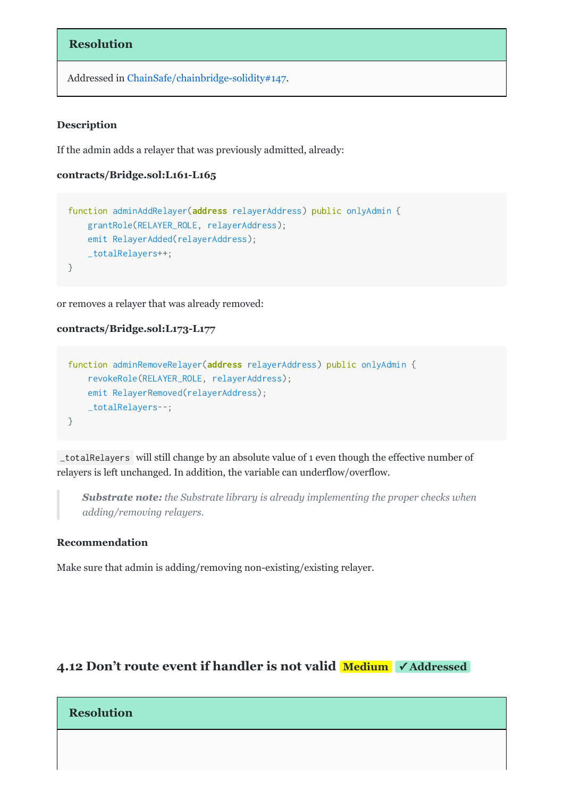#### **Resolution**

Addressed
in[ChainSafe/chainbridge-solidity#147](https://github.com/ChainSafe/chainbridge-solidity/pull/147).

#### **Description**

If
the
admin
adds
a
relayer
that
was
previously
admitted,
already:

#### contracts/Bridge.sol:L161-L165

```
function adminAddRelayer(address relayerAddress) public onlyAdmin {

grantRole(RELAYER_ROLE, relayerAddress);

emit RelayerAdded(relayerAddress);

_totalRelayers++;
}
```
or
removes
a
relayer
that
was
already
removed:

#### **contracts/Bridge.sol:L173L177**

```
function adminRemoveRelayer(address relayerAddress) public onlyAdmin {

revokeRole(RELAYER_ROLE, relayerAddress);

emit RelayerRemoved(relayerAddress);

_totalRelayers--;
}
```
\_totalRelayers will still change by an absolute value of 1 even though the effective number of relayers
is
left
unchanged.
In
addition,
the
variable
can
underflow/overflow.

**Substrate note:** the Substrate library is already implementing the proper checks when *adding/removing
relayers.*

#### **Recommendation**

Make sure that admin is adding/removing non-existing/existing relayer.

### <span id="page-20-0"></span>**4.12 Don't route event if handler is not valid Medium** ✓ Addressed

#### **Resolution**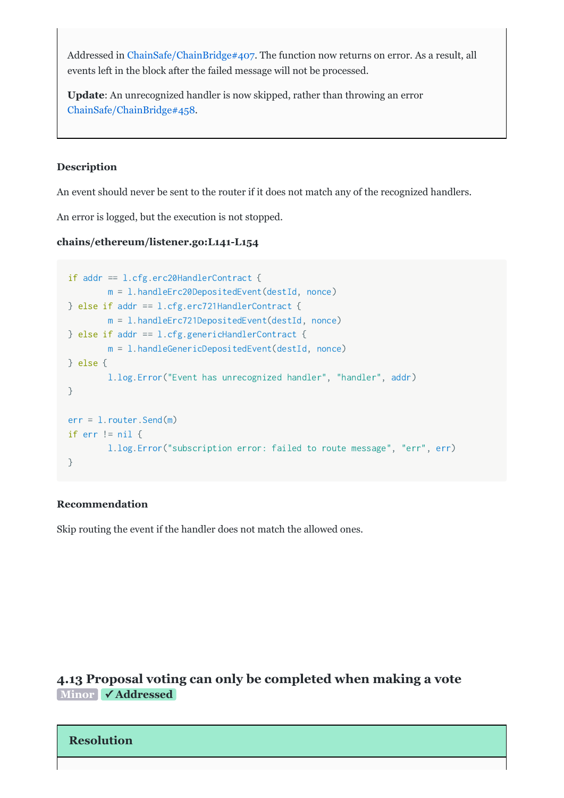Addressed in ChainSafe/ChainBridge#407. The function now returns on error. As a result, all events
left
in
the
block
after
the
failed
message
will
not
be
processed.

Update: An unrecognized handler is now skipped, rather than throwing an error [ChainSafe/ChainBridge#458.](https://github.com/ChainSafe/ChainBridge/pull/458)

#### **Description**

An event should never be sent to the router if it does not match any of the recognized handlers.

An
error
is
logged,
but
the
execution
is
not
stopped.

#### chains/ethereum/listener.go:L141-L154

```
if addr == l.cfg.erc20HandlerContract {
       m = l.handleErc20DepositedEvent(destId, nonce)
} else if addr == l.cfg.erc721HandlerContract {
       m = l.handleErc721DepositedEvent(destId, nonce)
} else if addr == l.cfg.genericHandlerContract {
       m = l.handleGenericDepositedEvent(destId, nonce)
} else {
        l.log.Error("Event
has
unrecognized
handler", "handler", addr)
}
err = l.router.Send(m)
if err != nil \{l.log.Error("subscription
error:
failed
to
route
message", "err", err)
}
```
#### **Recommendation**

Skip
routing
the
event
if
the
handler
does
not
match
the
allowed
ones.

### <span id="page-21-0"></span>**[4.13
Proposal
voting
can
only
be
completed
when
making
a
vote](#page-21-0) Minor ✓ Addressed**

#### **Resolution**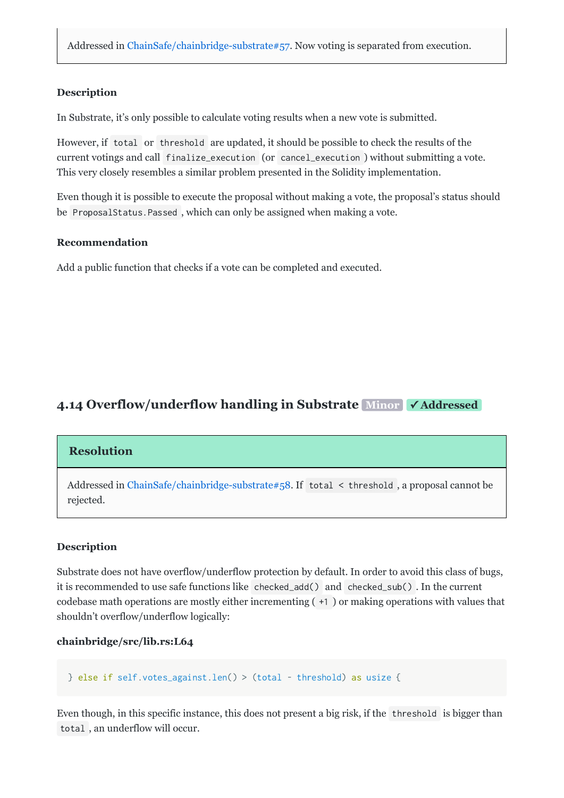#### **Description**

In Substrate, it's only possible to calculate voting results when a new vote is submitted.

However, if total or threshold are updated, it should be possible to check the results of the current
votings
and
call finalize\_execution (or cancel\_execution )
without
submitting
a
vote. This
very
closely
resembles
a
similar
problem
presented
in
the
Solidity
implementation.

Even though it is possible to execute the proposal without making a vote, the proposal's status should be ProposalStatus. Passed, which can only be assigned when making a vote.

#### **Recommendation**

Add a public function that checks if a vote can be completed and executed.

### <span id="page-22-0"></span>**4.14 Overflow/underflow handling in Substrate Minor √Addressed**

#### **Resolution**

Addressed in ChainSafe/chainbridge-substrate#58. If total < threshold, a proposal cannot be rejected.

#### **Description**

Substrate does not have overflow/underflow protection by default. In order to avoid this class of bugs, it
is
recommended
to
use
safe
functions
like checked\_add() and checked\_sub() .
In
the
current codebase
math
operations
are
mostly
either
incrementing
( +1 )
or
making
operations
with
values
that shouldn't
overflow/underflow
logically:

#### **chainbridge/src/lib.rs:L64**

```
} else if self.votes_against.len() > (total - threshold) as usize {
```
Even though, in this specific instance, this does not present a big risk, if the threshold is bigger than total ,
an
underflow
will
occur.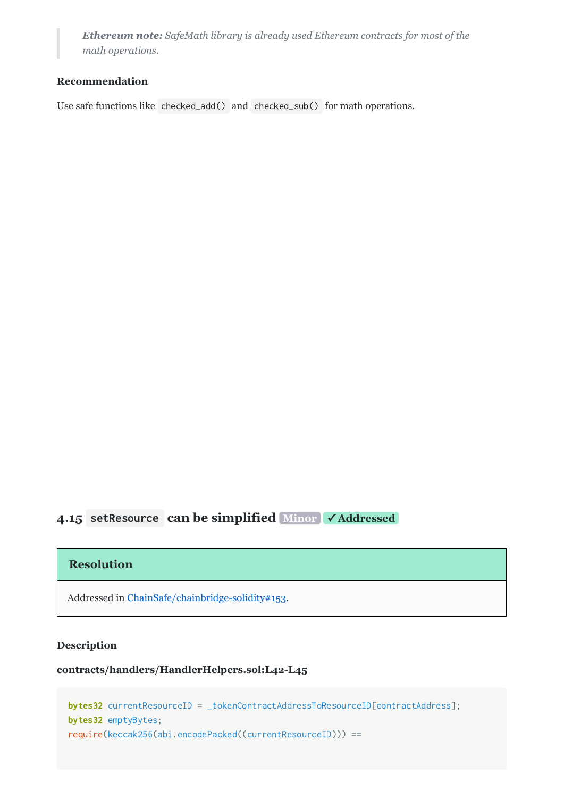*Ethereum
note:SafeMath
library
is
already
used
Ethereum
contracts
for
most
of
the math
operations.*

#### **Recommendation**

Use safe functions like checked\_add() and checked\_sub() for math operations.

# <span id="page-23-0"></span>**4.15**  setResource **[can
be
simplified](#page-23-0)  Minor ✓ Addressed**

#### **Resolution**

Addressed
in[ChainSafe/chainbridge-solidity#153](https://github.com/ChainSafe/chainbridge-solidity/pull/153).

#### **Description**

#### **contracts/handlers/HandlerHelpers.sol:L42L45**

```
bytes32 currentResourceID = _tokenContractAddressToResourceID[contractAddress];
bytes32 emptyBytes;
require(keccak256(abi.encodePacked((currentResourceID))) ==
```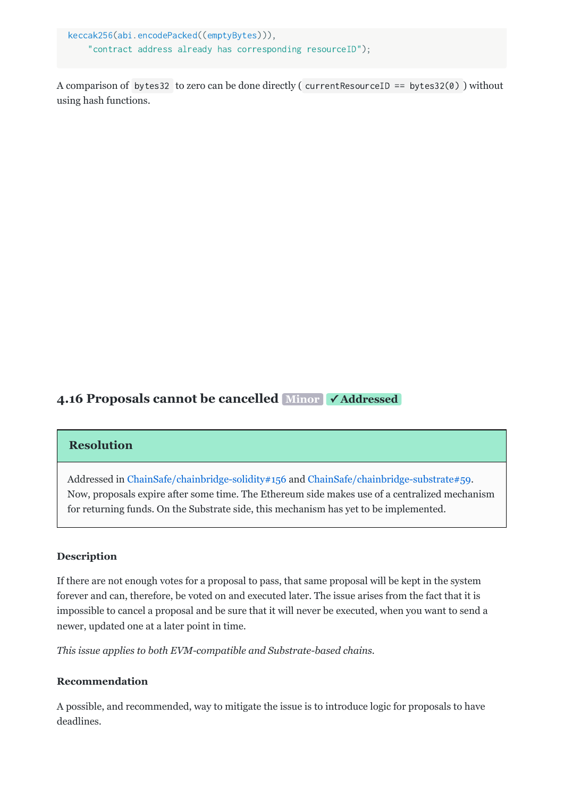keccak256(abi.encodePacked((emptyBytes))), "contract
address
already
has
corresponding
resourceID");

A comparison of bytes32 to zero can be done directly ( currentResourceID == bytes32(0) ) without using
hash
functions.

# <span id="page-24-0"></span>**[4.16
Proposals
cannot
be
cancelled](#page-24-0)  Minor ✓ Addressed**

#### **Resolution**

Addressed
in[ChainSafe/chainbridge-solidity#156](https://github.com/ChainSafe/chainbridge-solidity/pull/156)and [ChainSafe/chainbridge-substrate#59](https://github.com/ChainSafe/chainbridge-substrate/pull/59). Now,
proposals
expire
after
some
time.
The
Ethereum
side
makes
use
of
a
centralized
mechanism for returning funds. On the Substrate side, this mechanism has yet to be implemented.

#### **Description**

If there are not enough votes for a proposal to pass, that same proposal will be kept in the system forever and can, therefore, be voted on and executed later. The issue arises from the fact that it is impossible to cancel a proposal and be sure that it will never be executed, when you want to send a newer,
updated
one
at
a
later
point
in
time.

This issue applies to both EVM-compatible and Substrate-based chains.

#### **Recommendation**

A
possible,
and
recommended,
way
to
mitigate
the
issue
is
to
introduce
logic
for
proposals
to
have deadlines.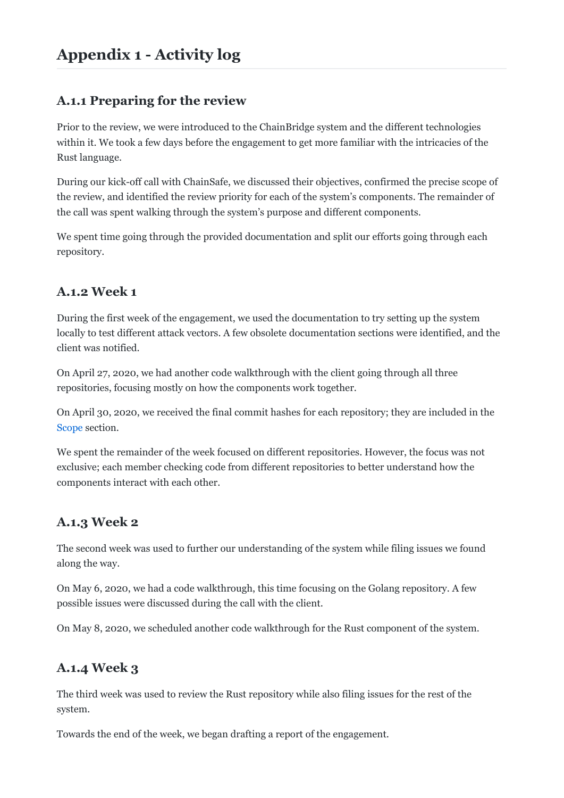# <span id="page-25-0"></span>**Appendix
1

Activity
log**

# <span id="page-25-1"></span>**A.1.1
Preparing
for
the
review**

Prior to the review, we were introduced to the ChainBridge system and the different technologies within it. We took a few days before the engagement to get more familiar with the intricacies of the Rust
language.

During our kick-off call with ChainSafe, we discussed their objectives, confirmed the precise scope of the review, and identified the review priority for each of the system's components. The remainder of the
call
was
spent
walking
through
the
system's
purpose
and
different
components.

We spent time going through the provided documentation and split our efforts going through each repository.

# <span id="page-25-2"></span>**A.1.2
Week
1**

During the first week of the engagement, we used the documentation to try setting up the system locally to test different attack vectors. A few obsolete documentation sections were identified, and the client
was
notified.

On April 27, 2020, we had another code walkthrough with the client going through all three repositories,
focusing
mostly
on
how
the
components
work
together.

On April 30, 2020, we received the final commit hashes for each repository; they are included in the [Scope](#page-1-1) section.

We spent the remainder of the week focused on different repositories. However, the focus was not exclusive;
each
member
checking
code
from
different
repositories
to
better
understand
how
the components
interact
with
each
other.

# <span id="page-25-3"></span>**A.1.3
Week
2**

The
second
week
was
used
to
further
our
understanding
of
the
system
while
filing
issues
we
found along
the
way.

On
May
6,
2020,
we
had
a
code
walkthrough,
this
time
focusing
on
the
Golang
repository.
A
few possible
issues
were
discussed
during
the
call
with
the
client.

On May 8, 2020, we scheduled another code walkthrough for the Rust component of the system.

# <span id="page-25-4"></span>**A.1.4
Week
3**

The third week was used to review the Rust repository while also filing issues for the rest of the system.

Towards
the
end
of
the
week,
we
began
drafting
a
report
of
the
engagement.